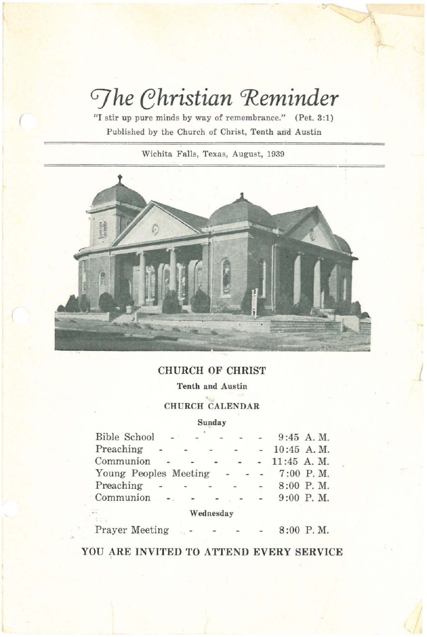# $\Im$ *he Christian* Reminder

**"I stir up pure minds by way of remembrance." (Pet. 3:1) Published by the Church of Christ, Tenth an'd Austin**

(

**Wichita Falls, Texas, August, 1939**



# CHURCH OF CHRIST

 $\sqrt{2}$ 

**Tenth and Austin**

CHURCH CALENDAR

### **Sunday**

| <b>Bible School</b>   | <b>CONTRACTOR</b> |                                   |           |        |        | $9:45$ A.M.     |
|-----------------------|-------------------|-----------------------------------|-----------|--------|--------|-----------------|
| Preaching             |                   |                                   |           | $\sim$ |        | $-10:45$ A.M.   |
| Communion             |                   |                                   |           |        |        | $ -$ 11:45 A.M. |
| Young Peoples Meeting |                   |                                   |           |        |        | $7:00$ P.M.     |
| Preaching             |                   | the control of the control of the |           |        | $\sim$ | 8:00 P.M.       |
| $Common \sim -$       |                   |                                   |           | $ -$   |        | $9:00$ P.M.     |
| £.                    |                   |                                   | Wednesday |        |        |                 |

Prayer Meeting 8:00 P. M.

YOU ARE **INVITED** TO ATTEND EVERY SERVICE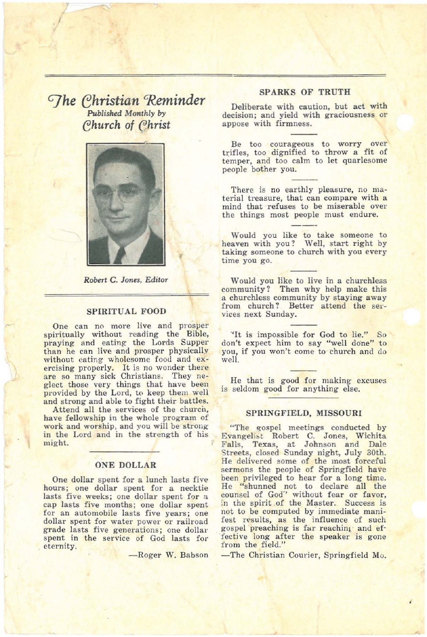*GJhe ehristian 'Reminder Published Monthly* by Church of Christ

J



*Robert* C. *Jones, Editor*

#### SPIRITUAL FOOD

One can no more live and prosper spiritually without reading the Bible, praying and eating the Lords Supper than he can live and prosper physically<br>without eating wholesome food and exercising properly. It is no wonder there are so many sick Christians. They neglect those very things that have been provided by the Lord, to keep them well and strong and able to fight their battles.

Attend all the services of the church, have fellowship in the whole program of work and worship, and you will be strongin the Lord and in the strength of his might.

#### ONE DOLLAR

One dollar spent for a lunch lasts five hours; one dollar spent for a necktie lasts five weeks; one dollar spent for a cap lasts five months; one dollar spent for an automobile lasts five years; one dollar spent for water power or railroad grade lasts five generations; one dollar' spent in the service of God lasts for eternity.

-Roger W. Babson

#### SPARKS OF TRUTH

Deliberate with caution, but act with decision; and yield with graciousness or appose with firmness.

Be too courageous to worry over trifles, too dignified to throw a fit of temper, and too calm to let quarlesome people bother you.

There is no earthly pleasure, no material treasure, that can compare with a mind that refuses to be miserable over the things most people must endure.

Would you like to take someone to heaven with you? Well, start right by taking someone to church with you every time you go.

Would you like to live in a churchless<br>community? Then why help make this a churchless community by staying away from church? Better attend the services next Sunday.

·'It is impossible for God to lie." So don't expect him to say "well done" to you, if you won't come to church and do well.

He that is good for making excuses is seldom good for anything else.

#### SPRINGFIELD, MISSOURI

"The gospel meetings conducted by Evangelist Robert C. Jones, Wichita Falls, Texas, at Johnson and Dale Streets, closed Sunday night, July 30th. He delivered some of the most forceful sermons the people of Springfield have been privileged to hear for a long time. He "shunned not to declare all the counsel of God" without fear or favor, in the spirit of the Master. Success is not to be computed by immediate manifest results, as the influence of such gospel preaching is far reaching and effective long after the speaker is gone from the field."

-The Christian Courier, Springfield Mo.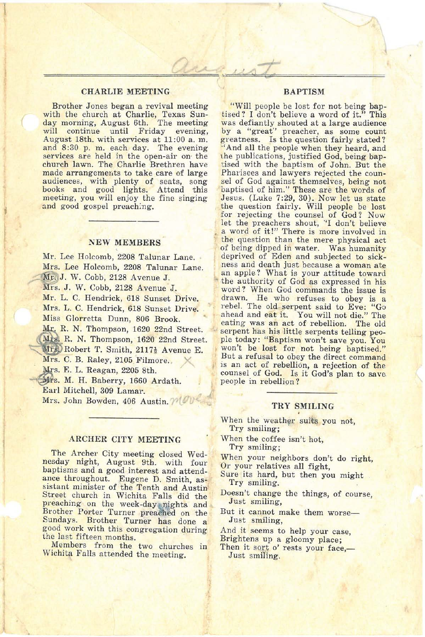#### CHARLIE MEETING

1

Brother Jones began a revival meeting with the church at Charlie, Texas Sunday morning, August 6th. The meeting will continue until Friday evening, August 18th. with services at 11:00 a. m. and 8:30 p. m. each day. The evening services are held in the open-air on the church lawn. The Charlie Brethren have made arrangements to take care of large audiences, with plenty of seats, song books and good lights. Attend this meeting, you will enjoy the fine singing and good gospel preaching.

#### NEW MEMBERS

Mr. Lee Holcomb, 2208 Talunar Lane. Mrs. Lee Holcomb, 2208 Talunar Lane. Mr. J. W. Cobb, 2128 Avenue J. Mrs. J. W. Cobb, 2128 Avenue J. Mr. L. C. Hendrick, 618 Sunset Drive. Mrs. L. C. Hendrick, 618 Sunset Drive. Miss Glorretta Dunn, 806 Brook. Mr. R. N. Thompson, 1620 22nd Street. Mrs. R. N. Thompson, 1620 22nd Street. Mrs. Robert T. Smith, 2117} Avenue E. Mrs. C. B. Raley, 2105 Filmore. Mrs. E. L. Reagan, 2205 8th. Mrs. M. H. Baberry, 1660 Ardath. Earl Mitchell, 309 Lamar. Mrs. John Bowden, <sup>406</sup> Austin. *pi*

#### ARCHER CITY MEETING

The Archer City meeting closed Wednesday night, August 9th. with four baptisms and a good interest and attend-<br>ance throughout. Eugene D. Smith, asance the Sistant minister of the Tenth and Austin Street church in Wichita Falls did the preaching on the week-day nights and Brother Porter Turner preached on the Sundays. Brother Turner has done a good work with this congregation during the last fifteen months.

Members from the two churches in Wichita Falls attended the meeting.

#### **BAPTISM**

 $\cup\cup$ 

*-r*

"Will people be lost for not being bap-<br>tised? I don't believe a word of it." This tised? <sup>I</sup> don't believe <sup>a</sup> word of it." This was defiantly shouted at <sup>a</sup> large audience by a "great" preacher, as some count greatness. Is the question fairly stated? "And all the people when they heard, and the publications, justified God, being baptised with the baptism of John. But the Pharisees and lawyers rejected the counsel of God against themselves, being not baptised of him." These are the words of Jesus. (Luke 7:29, 30). Now let us state the question fairly. Will people be lost for rejecting the counsel of God? Now let the preachers shout, "I don't believe a word of it!" There is more involved in the question than the mere physical act of being dipped in water. Was humanity deprived of Eden and subjected to sick-<br>ness and death just because a woman ate an apple? What is your attitude toward the authority of God as expressed in his word? When God commands the issue is drawn. He who refuses to obey is a rebel. The old serpent said to Eve: "Go ahead and eat it. You will not die." The eating was an act of rebellion. The old serpent has his little serpents telling people today: "Baptism won't save you. You won't be lost for not being baptised." But a refusal to obey the direct command is an act of rebellion, a rejection of the counsel of God. Is it God's plan to save people in rebellipn?

#### TRY SMILING

When the weather suits you not, Try smiling;

When the coffee isn't hot, Try smiling;

When your neighbors don't do right,

- Or your relatives all fight,
- Sure its hard, but then you might Try smiling. .
- Doesn't change the things, of course, Just smiling,
- But it cannot make them worse-<br>Just smiling,
- And it seems to help your case,
- Brightens up a gloomy place;
- Then it sort o' rests your face,-Just smiling.